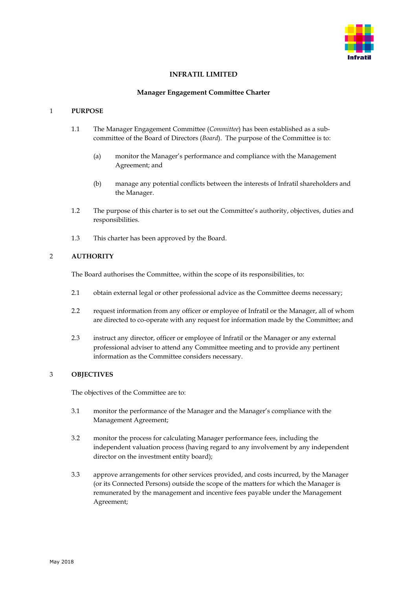

# **INFRATIL LIMITED**

#### **Manager Engagement Committee Charter**

# 1 **PURPOSE**

- 1.1 The Manager Engagement Committee (*Committee*) has been established as a subcommittee of the Board of Directors (*Board*). The purpose of the Committee is to:
	- (a) monitor the Manager's performance and compliance with the Management Agreement; and
	- (b) manage any potential conflicts between the interests of Infratil shareholders and the Manager.
- 1.2 The purpose of this charter is to set out the Committee's authority, objectives, duties and responsibilities.
- 1.3 This charter has been approved by the Board.

# 2 **AUTHORITY**

The Board authorises the Committee, within the scope of its responsibilities, to:

- 2.1 obtain external legal or other professional advice as the Committee deems necessary;
- 2.2 request information from any officer or employee of Infratil or the Manager, all of whom are directed to co-operate with any request for information made by the Committee; and
- 2.3 instruct any director, officer or employee of Infratil or the Manager or any external professional adviser to attend any Committee meeting and to provide any pertinent information as the Committee considers necessary.

# 3 **OBJECTIVES**

The objectives of the Committee are to:

- 3.1 monitor the performance of the Manager and the Manager's compliance with the Management Agreement;
- 3.2 monitor the process for calculating Manager performance fees, including the independent valuation process (having regard to any involvement by any independent director on the investment entity board);
- 3.3 approve arrangements for other services provided, and costs incurred, by the Manager (or its Connected Persons) outside the scope of the matters for which the Manager is remunerated by the management and incentive fees payable under the Management Agreement;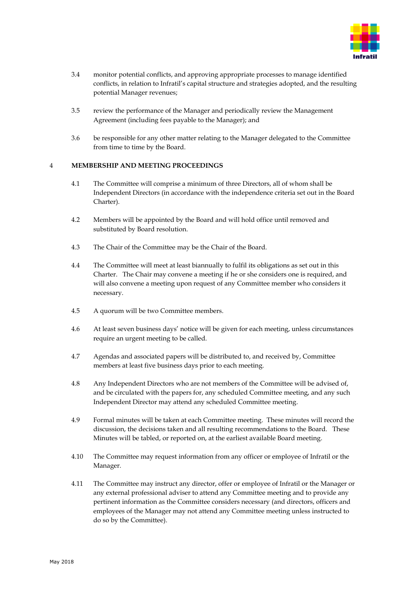

- 3.4 monitor potential conflicts, and approving appropriate processes to manage identified conflicts, in relation to Infratil's capital structure and strategies adopted, and the resulting potential Manager revenues;
- 3.5 review the performance of the Manager and periodically review the Management Agreement (including fees payable to the Manager); and
- 3.6 be responsible for any other matter relating to the Manager delegated to the Committee from time to time by the Board.

# 4 **MEMBERSHIP AND MEETING PROCEEDINGS**

- 4.1 The Committee will comprise a minimum of three Directors, all of whom shall be Independent Directors (in accordance with the independence criteria set out in the Board Charter).
- 4.2 Members will be appointed by the Board and will hold office until removed and substituted by Board resolution.
- 4.3 The Chair of the Committee may be the Chair of the Board.
- 4.4 The Committee will meet at least biannually to fulfil its obligations as set out in this Charter. The Chair may convene a meeting if he or she considers one is required, and will also convene a meeting upon request of any Committee member who considers it necessary.
- 4.5 A quorum will be two Committee members.
- 4.6 At least seven business days' notice will be given for each meeting, unless circumstances require an urgent meeting to be called.
- 4.7 Agendas and associated papers will be distributed to, and received by, Committee members at least five business days prior to each meeting.
- 4.8 Any Independent Directors who are not members of the Committee will be advised of, and be circulated with the papers for, any scheduled Committee meeting, and any such Independent Director may attend any scheduled Committee meeting.
- 4.9 Formal minutes will be taken at each Committee meeting. These minutes will record the discussion, the decisions taken and all resulting recommendations to the Board. These Minutes will be tabled, or reported on, at the earliest available Board meeting.
- 4.10 The Committee may request information from any officer or employee of Infratil or the Manager.
- 4.11 The Committee may instruct any director, offer or employee of Infratil or the Manager or any external professional adviser to attend any Committee meeting and to provide any pertinent information as the Committee considers necessary (and directors, officers and employees of the Manager may not attend any Committee meeting unless instructed to do so by the Committee).